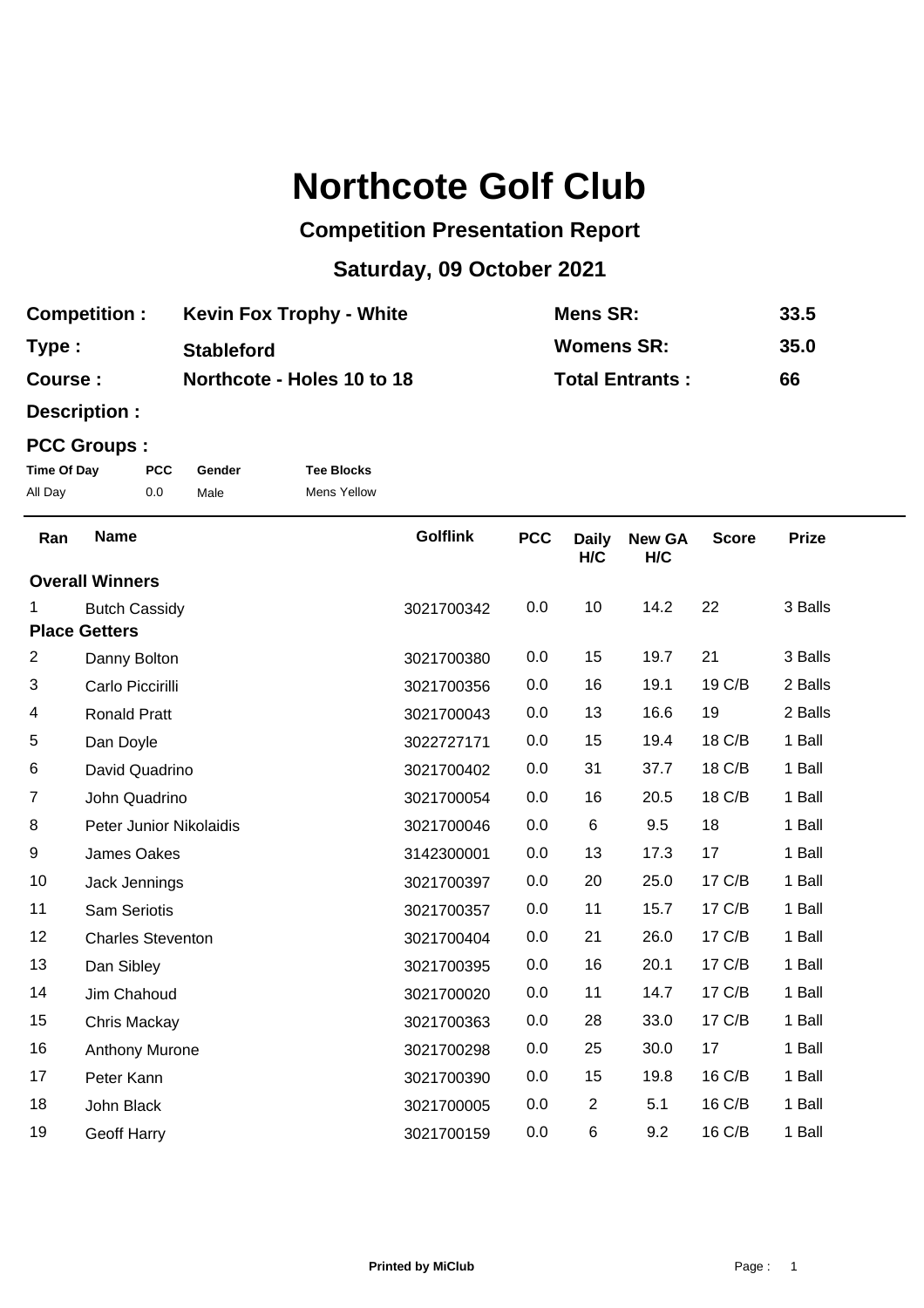# **Northcote Golf Club**

## **Competition Presentation Report**

## **Saturday, 09 October 2021**

| <b>Competition:</b> | <b>Kevin Fox Trophy - White</b> | Mens SR:               | 33.5 |
|---------------------|---------------------------------|------------------------|------|
| Type:               | <b>Stableford</b>               | <b>Womens SR:</b>      | 35.0 |
| Course:             | Northcote - Holes 10 to 18      | <b>Total Entrants:</b> | 66   |

**Description :**

#### **PCC Groups :**

| Time Of Day | <b>PCC</b> | Gender | <b>Tee Blocks</b>  |
|-------------|------------|--------|--------------------|
| All Day     | 0.0        | Male   | <b>Mens Yellow</b> |

| Ran                                  | <b>Name</b>              | <b>Golflink</b> | <b>PCC</b> | <b>Daily</b>   | <b>New GA</b> | <b>Score</b> | <b>Prize</b> |
|--------------------------------------|--------------------------|-----------------|------------|----------------|---------------|--------------|--------------|
| H/C<br>H/C<br><b>Overall Winners</b> |                          |                 |            |                |               |              |              |
|                                      |                          |                 |            |                |               |              |              |
| 1.                                   | <b>Butch Cassidy</b>     | 3021700342      | 0.0        | 10             | 14.2          | 22           | 3 Balls      |
|                                      | <b>Place Getters</b>     |                 |            |                |               |              |              |
| 2                                    | Danny Bolton             | 3021700380      | 0.0        | 15             | 19.7          | 21           | 3 Balls      |
| 3                                    | Carlo Piccirilli         | 3021700356      | 0.0        | 16             | 19.1          | 19 C/B       | 2 Balls      |
| 4                                    | <b>Ronald Pratt</b>      | 3021700043      | 0.0        | 13             | 16.6          | 19           | 2 Balls      |
| $\sqrt{5}$                           | Dan Doyle                | 3022727171      | 0.0        | 15             | 19.4          | 18 C/B       | 1 Ball       |
| 6                                    | David Quadrino           | 3021700402      | 0.0        | 31             | 37.7          | 18 C/B       | 1 Ball       |
| $\overline{7}$                       | John Quadrino            | 3021700054      | 0.0        | 16             | 20.5          | 18 C/B       | 1 Ball       |
| 8                                    | Peter Junior Nikolaidis  | 3021700046      | 0.0        | 6              | 9.5           | 18           | 1 Ball       |
| 9                                    | James Oakes              | 3142300001      | 0.0        | 13             | 17.3          | 17           | 1 Ball       |
| 10                                   | Jack Jennings            | 3021700397      | 0.0        | 20             | 25.0          | 17 C/B       | 1 Ball       |
| 11                                   | <b>Sam Seriotis</b>      | 3021700357      | 0.0        | 11             | 15.7          | 17 C/B       | 1 Ball       |
| 12                                   | <b>Charles Steventon</b> | 3021700404      | 0.0        | 21             | 26.0          | 17 C/B       | 1 Ball       |
| 13                                   | Dan Sibley               | 3021700395      | 0.0        | 16             | 20.1          | 17 C/B       | 1 Ball       |
| 14                                   | Jim Chahoud              | 3021700020      | 0.0        | 11             | 14.7          | 17 C/B       | 1 Ball       |
| 15                                   | Chris Mackay             | 3021700363      | 0.0        | 28             | 33.0          | 17 C/B       | 1 Ball       |
| 16                                   | Anthony Murone           | 3021700298      | 0.0        | 25             | 30.0          | 17           | 1 Ball       |
| 17                                   | Peter Kann               | 3021700390      | 0.0        | 15             | 19.8          | 16 C/B       | 1 Ball       |
| 18                                   | John Black               | 3021700005      | 0.0        | $\overline{2}$ | 5.1           | 16 C/B       | 1 Ball       |
| 19                                   | Geoff Harry              | 3021700159      | 0.0        | 6              | 9.2           | 16 C/B       | 1 Ball       |